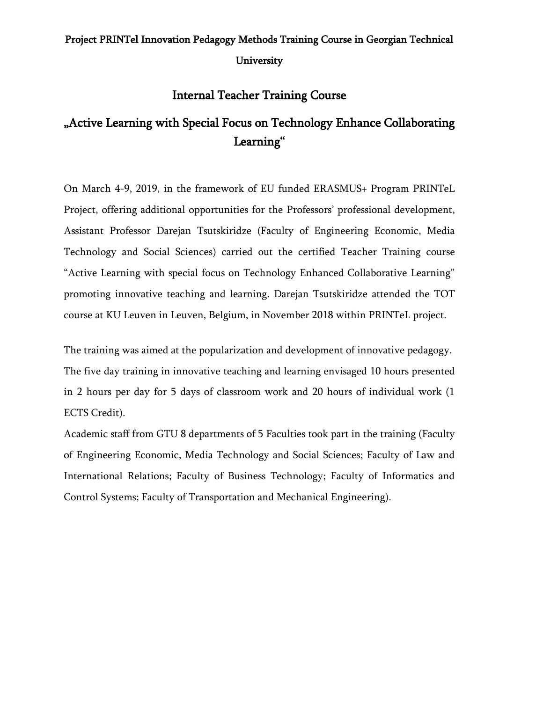## Project PRINTel Innovation Pedagogy Methods Training Course in Georgian Technical University

## Internal Teacher Training Course

## "Active Learning with Special Focus on Technology Enhance Collaborating Learning"

On March 4-9, 2019, in the framework of EU funded ERASMUS+ Program PRINTeL Project, offering additional opportunities for the Professors' professional development, Assistant Professor Darejan Tsutskiridze [\(Faculty of Engineering Economic, Media](http://social.gtu.ge/?lang=en)  [Technology and Social Sciences\)](http://social.gtu.ge/?lang=en) carried out the certified Teacher Training course "Active Learning with special focus on Technology Enhanced Collaborative Learning" promoting innovative teaching and learning. Darejan Tsutskiridze attended the TOT course at KU Leuven in Leuven, Belgium, in November 2018 within PRINTeL project.

The training was aimed at the popularization and development of innovative pedagogy. The five day training in innovative teaching and learning envisaged 10 hours presented in 2 hours per day for 5 days of classroom work and 20 hours of individual work (1 ECTS Credit).

Academic staff from GTU 8 departments of 5 Faculties took part in the training [\(Faculty](http://social.gtu.ge/?lang=en)  [of Engineering Economic, Media Technology and Social Sciences;](http://social.gtu.ge/?lang=en) [Faculty of Law and](http://www.eng.law.gtu.ge/)  [International Relations;](http://www.eng.law.gtu.ge/) [Faculty of Business Technology;](http://gtu.ge/bef/en/) [Faculty of Informatics and](http://gtu.ge/Ims/en/)  [Control Systems;](http://gtu.ge/Ims/en/) [Faculty of Transportation and Mechanical Engineering\)](http://gtu.ge/Stmm/en/).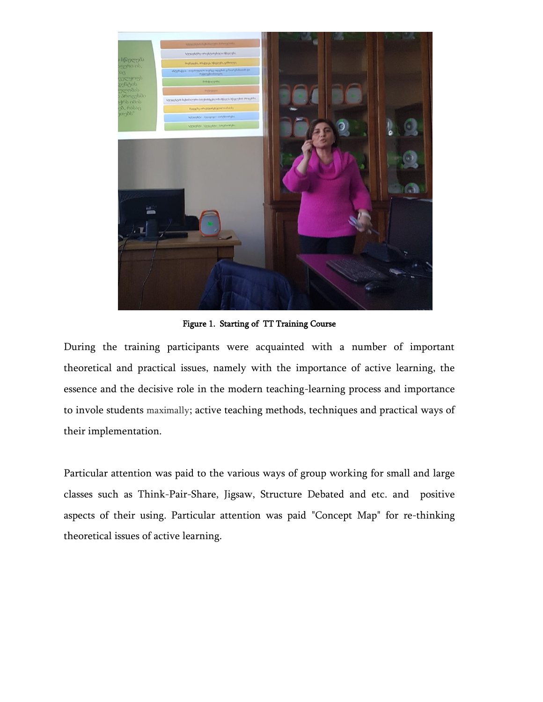

Figure 1. Starting of TT Training Course

During the training participants were acquainted with a number of important theoretical and practical issues, namely with the importance of active learning, the essence and the decisive role in the modern teaching-learning process and importance to invole students maximally; active teaching methods, techniques and practical ways of their implementation.

Particular attention was paid to the various ways of group working for small and large classes such as Think-Pair-Share, Jigsaw, Structure Debated and etc. and positive aspects of their using. Particular attention was paid "Concept Map" for re-thinking theoretical issues of active learning.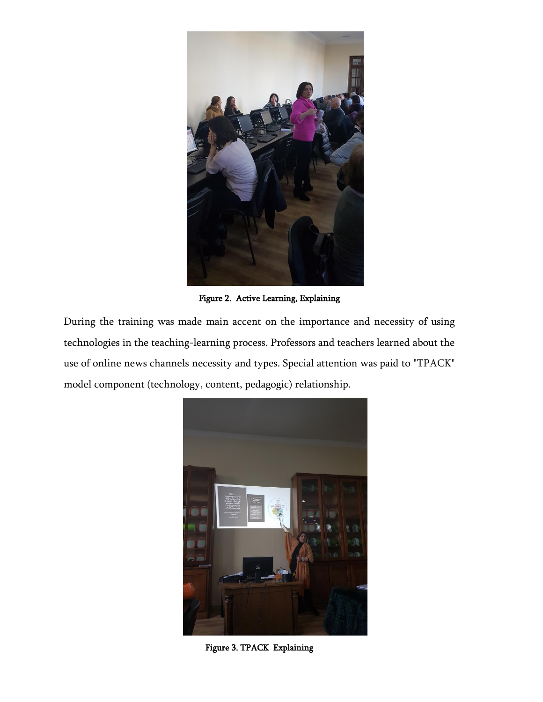

Figure 2. Active Learning, Explaining

During the training was made main accent on the importance and necessity of using technologies in the teaching-learning process. Professors and teachers learned about the use of online news channels necessity and types. Special attention was paid to "TPACK" model component (technology, content, pedagogic) relationship.



Figure 3. TPACK Explaining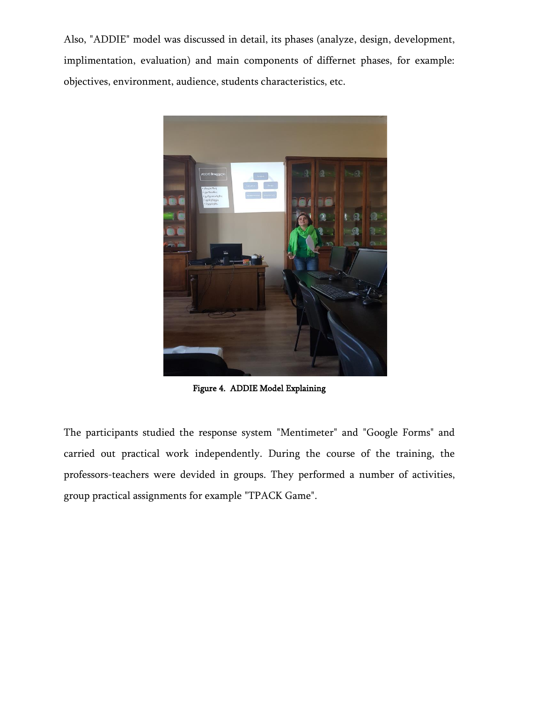Also, "ADDIE" model was discussed in detail, its phases (analyze, design, development, implimentation, evaluation) and main components of differnet phases, for example: objectives, environment, audience, students characteristics, etc.



Figure 4. ADDIE Model Explaining

The participants studied the response system "Mentimeter" and "Google Forms" and carried out practical work independently. During the course of the training, the professors-teachers were devided in groups. They performed a number of activities, group practical assignments for example "TPACK Game".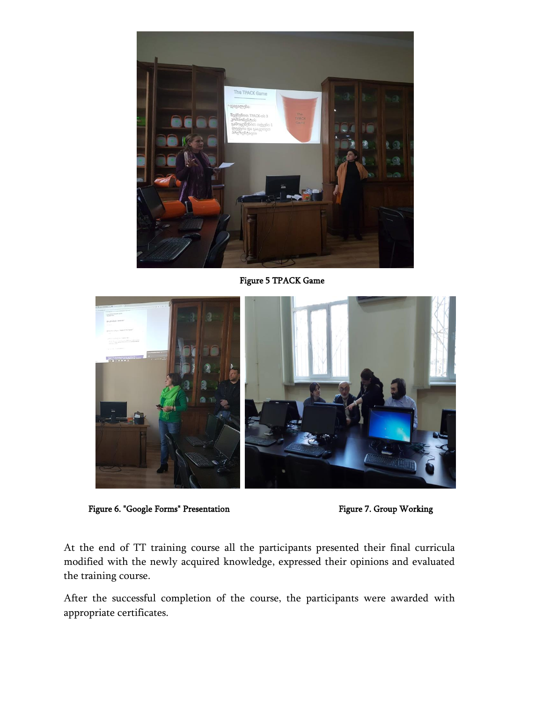

Figure 5 TPACK Game



Figure 6. "Google Forms" Presentation Figure 7. Group Working

At the end of TT training course all the participants presented their final curricula modified with the newly acquired knowledge, expressed their opinions and evaluated the training course.

After the successful completion of the course, the participants were awarded with appropriate certificates.